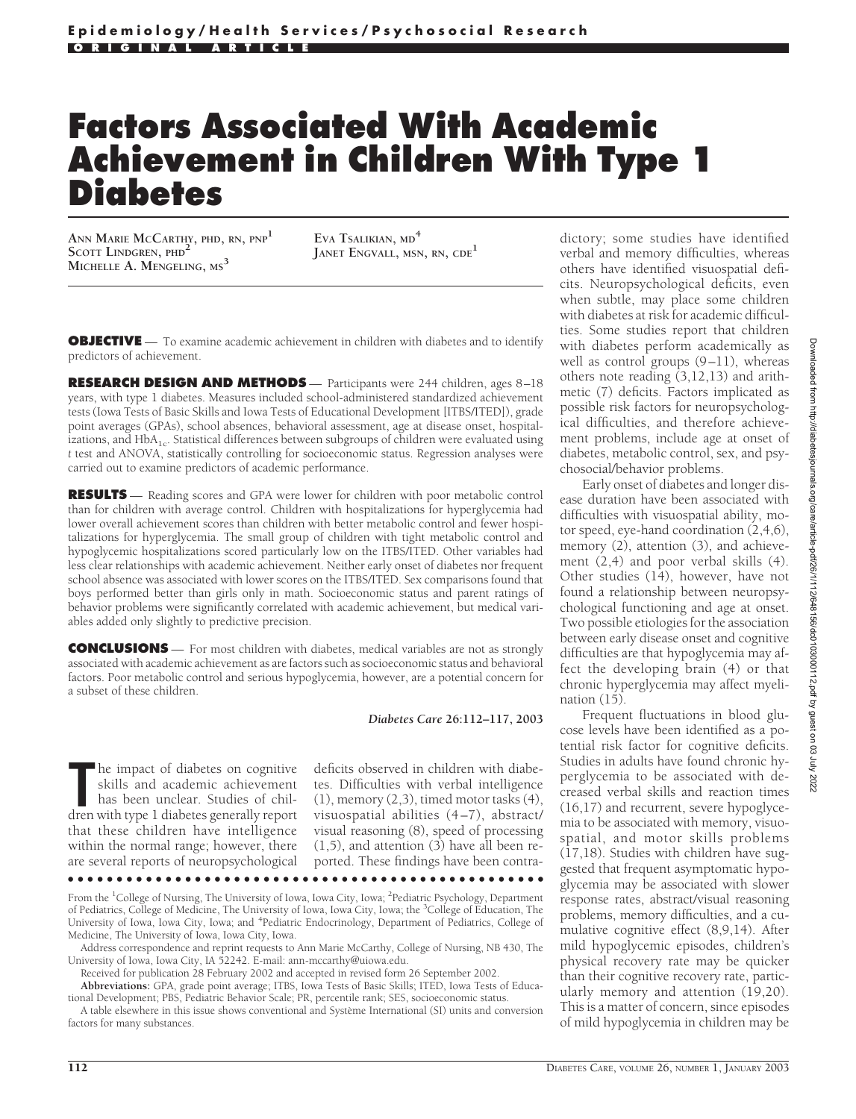# **Factors Associated With Academic Achievement in Children With Type 1 Diabetes**

**ANN MARIE MCCARTHY, PHD, RN, PNP<sup>1</sup> SCOTT LINDGREN, PHD<sup>2</sup> MICHELLE A. MENGELING, MS<sup>3</sup>**

**EVA TSALIKIAN, MD<sup>4</sup> JANET ENGVALL, MSN, RN, CDE<sup>1</sup>**

**OBJECTIVE** — To examine academic achievement in children with diabetes and to identify predictors of achievement.

**RESEARCH DESIGN AND METHODS** — Participants were 244 children, ages 8–18 years, with type 1 diabetes. Measures included school-administered standardized achievement tests (Iowa Tests of Basic Skills and Iowa Tests of Educational Development [ITBS/ITED]), grade point averages (GPAs), school absences, behavioral assessment, age at disease onset, hospitalizations, and HbA<sub>1c</sub>. Statistical differences between subgroups of children were evaluated using *t* test and ANOVA, statistically controlling for socioeconomic status. Regression analyses were carried out to examine predictors of academic performance.

**RESULTS** — Reading scores and GPA were lower for children with poor metabolic control than for children with average control. Children with hospitalizations for hyperglycemia had lower overall achievement scores than children with better metabolic control and fewer hospitalizations for hyperglycemia. The small group of children with tight metabolic control and hypoglycemic hospitalizations scored particularly low on the ITBS/ITED. Other variables had less clear relationships with academic achievement. Neither early onset of diabetes nor frequent school absence was associated with lower scores on the ITBS/ITED. Sex comparisons found that boys performed better than girls only in math. Socioeconomic status and parent ratings of behavior problems were significantly correlated with academic achievement, but medical variables added only slightly to predictive precision.

**CONCLUSIONS** — For most children with diabetes, medical variables are not as strongly associated with academic achievement as are factors such as socioeconomic status and behavioral factors. Poor metabolic control and serious hypoglycemia, however, are a potential concern for a subset of these children.

*Diabetes Care* **26:112–117, 2003**

The impact of diabetes on cognitive skills and academic achievement has been unclear. Studies of children with type 1 diabetes generally report he impact of diabetes on cognitive skills and academic achievement has been unclear. Studies of chilthat these children have intelligence within the normal range; however, there are several reports of neuropsychological deficits observed in children with diabetes. Difficulties with verbal intelligence  $(1)$ , memory  $(2,3)$ , timed motor tasks  $(4)$ , visuospatial abilities (4–7), abstract/ visual reasoning (8), speed of processing  $(1,5)$ , and attention  $(3)$  have all been reported. These findings have been contra-

From the <sup>1</sup>College of Nursing, The University of Iowa, Iowa City, Iowa; <sup>2</sup>Pediatric Psychology, Department of Pediatrics, College of Medicine, The University of Iowa, Iowa City, Iowa; the <sup>3</sup>College of Education, The University of Iowa, Iowa City, Iowa; and <sup>4</sup>Pediatric Endocrinology, Department of Pediatrics, College of Medicine, The University of Iowa, Iowa City, Iowa.

●●●●●●●●●●●●●●●●●●●●●●●●●●●●●●●●●●●●●●●●●●●●●●●●●

Address correspondence and reprint requests to Ann Marie McCarthy, College of Nursing, NB 430, The University of Iowa, Iowa City, IA 52242. E-mail: ann-mccarthy@uiowa.edu.

Received for publication 28 February 2002 and accepted in revised form 26 September 2002.

**Abbreviations:** GPA, grade point average; ITBS, Iowa Tests of Basic Skills; ITED, Iowa Tests of Educational Development; PBS, Pediatric Behavior Scale; PR, percentile rank; SES, socioeconomic status. A table elsewhere in this issue shows conventional and Système International (SI) units and conversion

factors for many substances.

dictory; some studies have identified verbal and memory difficulties, whereas others have identified visuospatial deficits. Neuropsychological deficits, even when subtle, may place some children with diabetes at risk for academic difficulties. Some studies report that children with diabetes perform academically as well as control groups  $(9-11)$ , whereas others note reading (3,12,13) and arithmetic (7) deficits. Factors implicated as possible risk factors for neuropsychological difficulties, and therefore achievement problems, include age at onset of diabetes, metabolic control, sex, and psychosocial/behavior problems.

Early onset of diabetes and longer disease duration have been associated with difficulties with visuospatial ability, motor speed, eye-hand coordination (2,4,6), memory (2), attention (3), and achievement (2,4) and poor verbal skills (4). Other studies  $(14)$ , however, have not found a relationship between neuropsychological functioning and age at onset. Two possible etiologies for the association between early disease onset and cognitive difficulties are that hypoglycemia may affect the developing brain (4) or that chronic hyperglycemia may affect myelination (15).

Frequent fluctuations in blood glucose levels have been identified as a potential risk factor for cognitive deficits. Studies in adults have found chronic hyperglycemia to be associated with decreased verbal skills and reaction times (16,17) and recurrent, severe hypoglycemia to be associated with memory, visuospatial, and motor skills problems (17,18). Studies with children have suggested that frequent asymptomatic hypoglycemia may be associated with slower response rates, abstract/visual reasoning problems, memory difficulties, and a cumulative cognitive effect (8,9,14). After mild hypoglycemic episodes, children's physical recovery rate may be quicker than their cognitive recovery rate, particularly memory and attention (19,20). This is a matter of concern, since episodes of mild hypoglycemia in children may be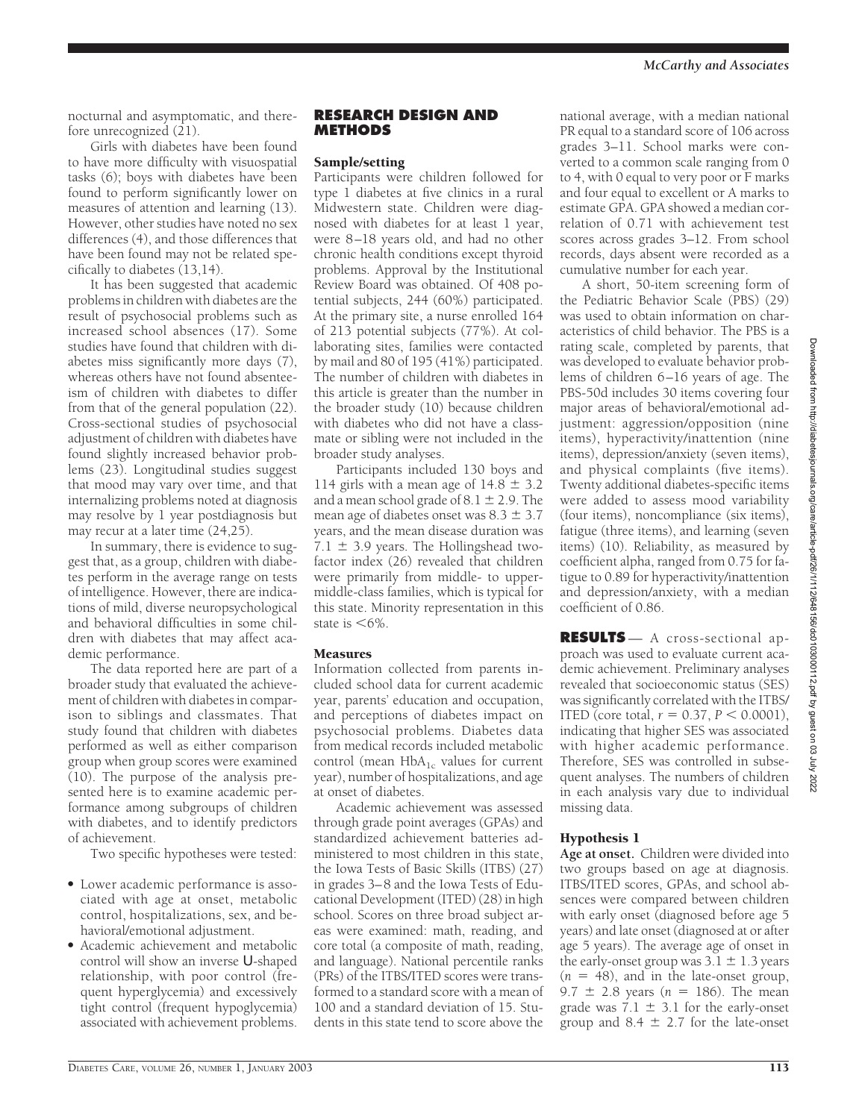nocturnal and asymptomatic, and therefore unrecognized  $(21)$ .

Girls with diabetes have been found to have more difficulty with visuospatial tasks (6); boys with diabetes have been found to perform significantly lower on measures of attention and learning (13). However, other studies have noted no sex differences (4), and those differences that have been found may not be related specifically to diabetes (13,14).

It has been suggested that academic problems in children with diabetes are the result of psychosocial problems such as increased school absences (17). Some studies have found that children with diabetes miss significantly more days (7), whereas others have not found absenteeism of children with diabetes to differ from that of the general population (22). Cross-sectional studies of psychosocial adjustment of children with diabetes have found slightly increased behavior problems (23). Longitudinal studies suggest that mood may vary over time, and that internalizing problems noted at diagnosis may resolve by 1 year postdiagnosis but may recur at a later time (24,25).

In summary, there is evidence to suggest that, as a group, children with diabetes perform in the average range on tests of intelligence. However, there are indications of mild, diverse neuropsychological and behavioral difficulties in some children with diabetes that may affect academic performance.

The data reported here are part of a broader study that evaluated the achievement of children with diabetes in comparison to siblings and classmates. That study found that children with diabetes performed as well as either comparison group when group scores were examined (10). The purpose of the analysis presented here is to examine academic performance among subgroups of children with diabetes, and to identify predictors of achievement.

Two specific hypotheses were tested:

- Lower academic performance is associated with age at onset, metabolic control, hospitalizations, sex, and behavioral/emotional adjustment.
- Academic achievement and metabolic control will show an inverse U-shaped relationship, with poor control (frequent hyperglycemia) and excessively tight control (frequent hypoglycemia) associated with achievement problems.

#### **RESEARCH DESIGN AND METHODS**

#### Sample/setting

Participants were children followed for type 1 diabetes at five clinics in a rural Midwestern state. Children were diagnosed with diabetes for at least 1 year, were 8–18 years old, and had no other chronic health conditions except thyroid problems. Approval by the Institutional Review Board was obtained. Of 408 potential subjects, 244 (60%) participated. At the primary site, a nurse enrolled 164 of 213 potential subjects (77%). At collaborating sites, families were contacted by mail and 80 of 195 (41%) participated. The number of children with diabetes in this article is greater than the number in the broader study (10) because children with diabetes who did not have a classmate or sibling were not included in the broader study analyses.

Participants included 130 boys and 114 girls with a mean age of  $14.8 \pm 3.2$ and a mean school grade of  $8.1 \pm 2.9$ . The mean age of diabetes onset was  $8.3 \pm 3.7$ years, and the mean disease duration was  $7.1 \pm 3.9$  years. The Hollingshead twofactor index (26) revealed that children were primarily from middle- to uppermiddle-class families, which is typical for this state. Minority representation in this state is  $<6\%$ .

## **Measures**

Information collected from parents included school data for current academic year, parents' education and occupation, and perceptions of diabetes impact on psychosocial problems. Diabetes data from medical records included metabolic control (mean  $HbA_{1c}$  values for current year), number of hospitalizations, and age at onset of diabetes.

Academic achievement was assessed through grade point averages (GPAs) and standardized achievement batteries administered to most children in this state, the Iowa Tests of Basic Skills (ITBS) (27) in grades 3–8 and the Iowa Tests of Educational Development (ITED) (28) in high school. Scores on three broad subject areas were examined: math, reading, and core total (a composite of math, reading, and language). National percentile ranks (PRs) of the ITBS/ITED scores were transformed to a standard score with a mean of 100 and a standard deviation of 15. Students in this state tend to score above the

national average, with a median national PR equal to a standard score of 106 across grades 3–11. School marks were converted to a common scale ranging from 0 to 4, with 0 equal to very poor or F marks and four equal to excellent or A marks to estimate GPA. GPA showed a median correlation of 0.71 with achievement test scores across grades 3–12. From school records, days absent were recorded as a cumulative number for each year.

A short, 50-item screening form of the Pediatric Behavior Scale (PBS) (29) was used to obtain information on characteristics of child behavior. The PBS is a rating scale, completed by parents, that was developed to evaluate behavior problems of children 6–16 years of age. The PBS-50d includes 30 items covering four major areas of behavioral/emotional adjustment: aggression/opposition (nine items), hyperactivity/inattention (nine items), depression/anxiety (seven items), and physical complaints (five items). Twenty additional diabetes-specific items were added to assess mood variability (four items), noncompliance (six items), fatigue (three items), and learning (seven items) (10). Reliability, as measured by coefficient alpha, ranged from 0.75 for fatigue to 0.89 for hyperactivity/inattention and depression/anxiety, with a median coefficient of 0.86.

**RESULTS** — A cross-sectional approach was used to evaluate current academic achievement. Preliminary analyses revealed that socioeconomic status (SES) was significantly correlated with the ITBS/ ITED (core total,  $r = 0.37$ ,  $P < 0.0001$ ), indicating that higher SES was associated with higher academic performance. Therefore, SES was controlled in subsequent analyses. The numbers of children in each analysis vary due to individual missing data.

# Hypothesis 1

**Age at onset.** Children were divided into two groups based on age at diagnosis. ITBS/ITED scores, GPAs, and school absences were compared between children with early onset (diagnosed before age 5 years) and late onset (diagnosed at or after age 5 years). The average age of onset in the early-onset group was  $3.1 \pm 1.3$  years  $(n = 48)$ , and in the late-onset group, 9.7  $\pm$  2.8 years ( $n = 186$ ). The mean grade was  $7.1 \pm 3.1$  for the early-onset group and  $8.4 \pm 2.7$  for the late-onset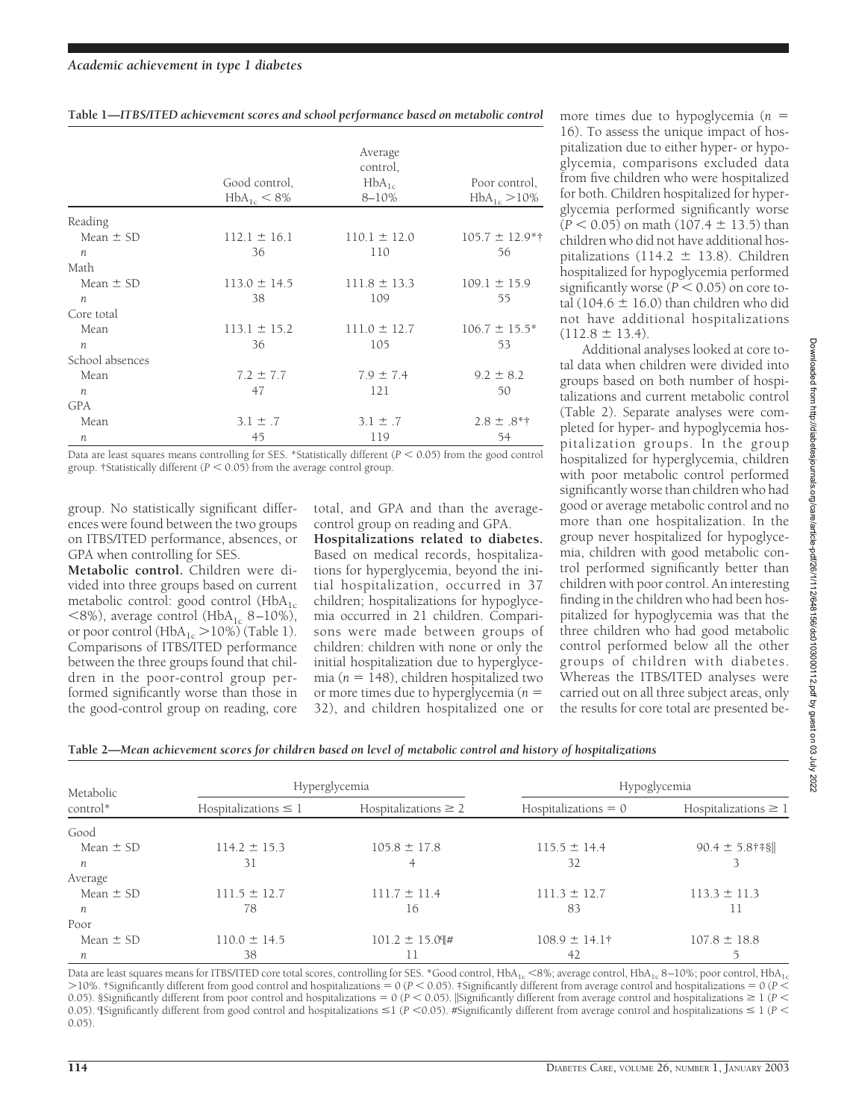|  | Table 1—ITBS/ITED achievement scores and school performance based on metabolic control |  |  |  |  |
|--|----------------------------------------------------------------------------------------|--|--|--|--|
|  |                                                                                        |  |  |  |  |

|                  | Good control,<br>$HbA_{1c} < 8\%$ | Average<br>control,<br>$HbA_{1c}$<br>$8 - 10%$ | Poor control,<br>$HbA_{1c} > 10\%$ |
|------------------|-----------------------------------|------------------------------------------------|------------------------------------|
| Reading          |                                   |                                                |                                    |
| Mean $\pm$ SD    | $112.1 \pm 16.1$                  | $110.1 \pm 12.0$                               | $105.7 \pm 12.9**$                 |
| $\boldsymbol{n}$ | 36                                | 110                                            | 56                                 |
| Math             |                                   |                                                |                                    |
| Mean $\pm$ SD    | $113.0 \pm 14.5$                  | $111.8 \pm 13.3$                               | $109.1 \pm 15.9$                   |
| $\boldsymbol{n}$ | 38                                | 109                                            | 55                                 |
| Core total       |                                   |                                                |                                    |
| Mean             | $113.1 \pm 15.2$                  | $111.0 \pm 12.7$                               | $106.7 \pm 15.5^*$                 |
| $\boldsymbol{n}$ | 36                                | 105                                            | 53                                 |
| School absences  |                                   |                                                |                                    |
| Mean             | $7.2 \pm 7.7$                     | $7.9 \pm 7.4$                                  | $9.2 \pm 8.2$                      |
| $\mathfrak n$    | 47                                | 121                                            | 50                                 |
| <b>GPA</b>       |                                   |                                                |                                    |
| Mean             | $3.1 \pm .7$                      | $3.1 \pm .7$                                   | $2.8 \pm .8$ <sup>*†</sup>         |
| n                | 45                                | 119                                            | 54                                 |
|                  |                                   |                                                |                                    |

Data are least squares means controlling for SES. \*Statistically different  $(P < 0.05)$  from the good control group.  $\frac{1}{15}$  fstatistically different ( $P < 0.05$ ) from the average control group.

group. No statistically significant differences were found between the two groups on ITBS/ITED performance, absences, or GPA when controlling for SES.

**Metabolic control.** Children were divided into three groups based on current metabolic control: good control  $(HbA<sub>1c</sub>)$  $\langle 8\%$ ), average control (HbA<sub>1c</sub> 8–10%), or poor control (HbA<sub>1c</sub> > 10%) (Table 1). Comparisons of ITBS/ITED performance between the three groups found that children in the poor-control group performed significantly worse than those in the good-control group on reading, core

total, and GPA and than the averagecontrol group on reading and GPA.

**Hospitalizations related to diabetes.** Based on medical records, hospitalizations for hyperglycemia, beyond the initial hospitalization, occurred in 37 children; hospitalizations for hypoglycemia occurred in 21 children. Comparisons were made between groups of children: children with none or only the initial hospitalization due to hyperglycemia ( $n = 148$ ), children hospitalized two or more times due to hyperglycemia (*n* 32), and children hospitalized one or

more times due to hypoglycemia (*n* 16). To assess the unique impact of hospitalization due to either hyper- or hypoglycemia, comparisons excluded data from five children who were hospitalized for both. Children hospitalized for hyperglycemia performed significantly worse  $(P < 0.05)$  on math  $(107.4 \pm 13.5)$  than children who did not have additional hospitalizations (114.2  $\pm$  13.8). Children hospitalized for hypoglycemia performed significantly worse  $(P < 0.05)$  on core total (104.6  $\pm$  16.0) than children who did not have additional hospitalizations  $(112.8 \pm 13.4).$ 

Additional analyses looked at core total data when children were divided into groups based on both number of hospitalizations and current metabolic control (Table 2). Separate analyses were completed for hyper- and hypoglycemia hospitalization groups. In the group hospitalized for hyperglycemia, children with poor metabolic control performed significantly worse than children who had good or average metabolic control and no more than one hospitalization. In the group never hospitalized for hypoglycemia, children with good metabolic control performed significantly better than children with poor control. An interesting finding in the children who had been hospitalized for hypoglycemia was that the three children who had good metabolic control performed below all the other groups of children with diabetes. Whereas the ITBS/ITED analyses were carried out on all three subject areas, only the results for core total are presented be-

| Table 2—Mean achievement scores for children based on level of metabolic control and history of hospitalizations |  |  |
|------------------------------------------------------------------------------------------------------------------|--|--|
|------------------------------------------------------------------------------------------------------------------|--|--|

| Metabolic     |                           | Hyperglycemia             | Hypoglycemia               |                           |  |  |
|---------------|---------------------------|---------------------------|----------------------------|---------------------------|--|--|
| control*      | Hospitalizations $\leq 1$ | Hospitalizations $\geq 2$ | $Hospitalizations = 0$     | Hospitalizations $\geq 1$ |  |  |
| Good          |                           |                           |                            |                           |  |  |
| Mean $\pm$ SD | $114.2 \pm 15.3$          | $105.8 \pm 17.8$          | $115.5 \pm 14.4$           | $90.4 \pm 5.8$ ††§        |  |  |
| n             | 31                        |                           | 32                         |                           |  |  |
| Average       |                           |                           |                            |                           |  |  |
| Mean $\pm$ SD | $111.5 \pm 12.7$          | $111.7 \pm 11.4$          | $111.3 \pm 12.7$           | $113.3 \pm 11.3$          |  |  |
| n             | 78                        | 16                        | 83                         |                           |  |  |
| Poor          |                           |                           |                            |                           |  |  |
| Mean $\pm$ SD | $110.0 \pm 14.5$          | $101.2 \pm 15.09$ #       | $108.9 \pm 14.1^{\dagger}$ | $107.8 \pm 18.8$          |  |  |
| n             | 38                        |                           | 42                         |                           |  |  |

Data are least squares means for ITBS/ITED core total scores, controlling for SES. \*Good control, HbA $_{\rm 1c}$  <8%; average control, HbA $_{\rm 1c}$  8–10%; poor control, HbA $_{\rm 1c}$  $>$ 10%. †Significantly different from good control and hospitalizations = 0 (*P* < 0.05). ‡Significantly different from average control and hospitalizations = 0 (*P* < 0.05). SSignificantly different from poor control and hospitalizations =  $0$  ( $P < 0.05$ ). Significantly different from average control and hospitalizations  $\geq 1$  ( $P < 0.05$ ). 0.05). Tsignificantly different from good control and hospitalizations  $\leq$  1 (*P* <0.05). #Significantly different from average control and hospitalizations  $\leq$  1 (*P* < 0.05).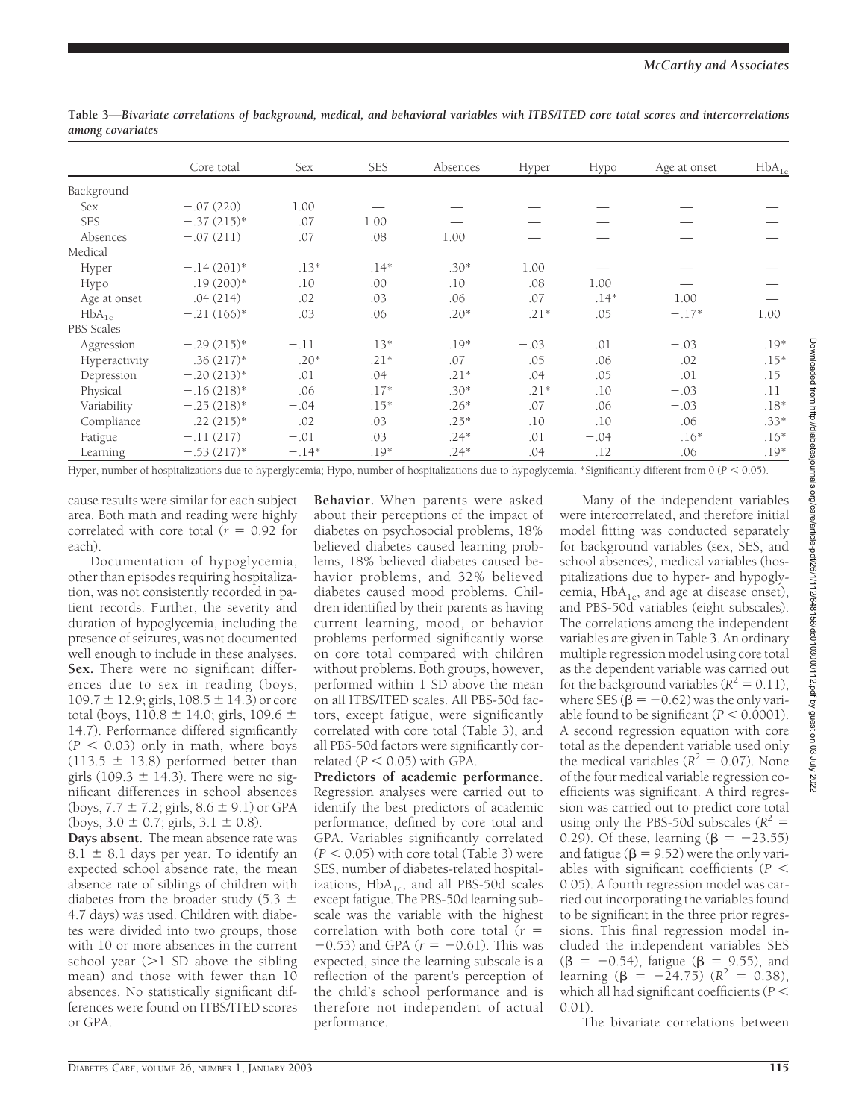|               | Core total    | Sex     | <b>SES</b> | Absences | Hyper  | Hypo    | Age at onset | $HbA_{1c}$ |
|---------------|---------------|---------|------------|----------|--------|---------|--------------|------------|
| Background    |               |         |            |          |        |         |              |            |
| <b>Sex</b>    | $-.07(220)$   | 1.00    |            |          |        |         |              |            |
| <b>SES</b>    | $-.37(215)*$  | .07     | 1.00       |          |        |         |              |            |
| Absences      | $-.07(211)$   | .07     | .08        | 1.00     |        |         |              |            |
| Medical       |               |         |            |          |        |         |              |            |
| Hyper         | $-.14(201)$ * | $.13*$  | $.14*$     | $.30*$   | 1.00   |         |              |            |
| Hypo          | $-.19(200)*$  | .10     | .00        | .10      | .08    | 1.00    |              |            |
| Age at onset  | .04(214)      | $-.02$  | .03        | .06      | $-.07$ | $-.14*$ | 1.00         |            |
| $HbA_{1c}$    | $-.21(166)*$  | .03     | .06        | $.20*$   | $.21*$ | .05     | $-.17*$      | 1.00       |
| PBS Scales    |               |         |            |          |        |         |              |            |
| Aggression    | $-.29(215)*$  | $-.11$  | $.13*$     | $.19*$   | $-.03$ | .01     | $-.03$       | $.19*$     |
| Hyperactivity | $-.36(217)*$  | $-.20*$ | $.21*$     | .07      | $-.05$ | .06     | .02          | $.15*$     |
| Depression    | $-.20(213)*$  | .01     | .04        | $.21*$   | .04    | .05     | .01          | .15        |
| Physical      | $-.16(218)*$  | .06     | $.17*$     | $.30*$   | $.21*$ | .10     | $-.03$       | .11        |
| Variability   | $-.25(218)*$  | $-.04$  | $.15*$     | $.26*$   | .07    | .06     | $-.03$       | $.18*$     |
| Compliance    | $-.22(215)*$  | $-.02$  | .03        | $.25*$   | .10    | .10     | .06          | $.33*$     |
| Fatigue       | $-.11(217)$   | $-.01$  | .03        | $.24*$   | .01    | $-.04$  | $.16*$       | $.16*$     |
| Learning      | $-.53(217)*$  | $-.14*$ | $.19*$     | $.24*$   | .04    | .12     | .06          | $.19*$     |

**Table 3—***Bivariate correlations of background, medical, and behavioral variables with ITBS/ITED core total scores and intercorrelations among covariates*

Hyper, number of hospitalizations due to hyperglycemia; Hypo, number of hospitalizations due to hypoglycemia. \*Significantly different from 0 (*P* - 0.05).

cause results were similar for each subject area. Both math and reading were highly correlated with core total  $(r = 0.92$  for each).

Documentation of hypoglycemia, other than episodes requiring hospitalization, was not consistently recorded in patient records. Further, the severity and duration of hypoglycemia, including the presence of seizures, was not documented well enough to include in these analyses. **Sex.** There were no significant differences due to sex in reading (boys,  $109.7 \pm 12.9$ ; girls,  $108.5 \pm 14.3$ ) or core total (boys,  $110.8 \pm 14.0$ ; girls,  $109.6 \pm 14.0$ 14.7). Performance differed significantly  $(P < 0.03)$  only in math, where boys  $(113.5 \pm 13.8)$  performed better than girls (109.3  $\pm$  14.3). There were no significant differences in school absences (boys,  $7.7 \pm 7.2$ ; girls,  $8.6 \pm 9.1$ ) or GPA (boys,  $3.0 \pm 0.7$ ; girls,  $3.1 \pm 0.8$ ).

**Days absent.** The mean absence rate was  $8.1 \pm 8.1$  days per year. To identify an expected school absence rate, the mean absence rate of siblings of children with diabetes from the broader study (5.3  $\pm$ 4.7 days) was used. Children with diabetes were divided into two groups, those with 10 or more absences in the current school year  $(>1$  SD above the sibling mean) and those with fewer than 10 absences. No statistically significant differences were found on ITBS/ITED scores or GPA.

**Behavior.** When parents were asked about their perceptions of the impact of diabetes on psychosocial problems, 18% believed diabetes caused learning problems, 18% believed diabetes caused behavior problems, and 32% believed diabetes caused mood problems. Children identified by their parents as having current learning, mood, or behavior problems performed significantly worse on core total compared with children without problems. Both groups, however, performed within 1 SD above the mean on all ITBS/ITED scales. All PBS-50d factors, except fatigue, were significantly correlated with core total (Table 3), and all PBS-50d factors were significantly correlated  $(P < 0.05)$  with GPA.

**Predictors of academic performance.** Regression analyses were carried out to identify the best predictors of academic performance, defined by core total and GPA. Variables significantly correlated  $(P < 0.05)$  with core total (Table 3) were SES, number of diabetes-related hospitalizations,  $HbA_{1c}$ , and all PBS-50d scales except fatigue. The PBS-50d learning subscale was the variable with the highest correlation with both core total (*r*  $-0.53$ ) and GPA ( $r = -0.61$ ). This was expected, since the learning subscale is a reflection of the parent's perception of the child's school performance and is therefore not independent of actual performance.

Many of the independent variables were intercorrelated, and therefore initial model fitting was conducted separately for background variables (sex, SES, and school absences), medical variables (hospitalizations due to hyper- and hypoglycemia,  $HbA_{1c}$ , and age at disease onset), and PBS-50d variables (eight subscales). The correlations among the independent variables are given in Table 3. An ordinary multiple regression model using core total as the dependent variable was carried out for the background variables ( $R^2 = 0.11$ ), where SES ( $\bar{\beta} = -0.62$ ) was the only variable found to be significant  $(P < 0.0001)$ . A second regression equation with core total as the dependent variable used only the medical variables ( $R^2 = 0.07$ ). None of the four medical variable regression coefficients was significant. A third regression was carried out to predict core total using only the PBS-50d subscales ( $R^2$  = 0.29). Of these, learning  $(\beta = -23.55)$ and fatigue ( $\beta$  = 9.52) were the only variables with significant coefficients ( $P <$ 0.05). A fourth regression model was carried out incorporating the variables found to be significant in the three prior regressions. This final regression model included the independent variables SES  $(\beta = -0.54)$ , fatigue  $(\beta = 9.55)$ , and learning  $(\beta = -24.75)$   $(R^2 = 0.38)$ , which all had significant coefficients ( $P <$ 0.01).

The bivariate correlations between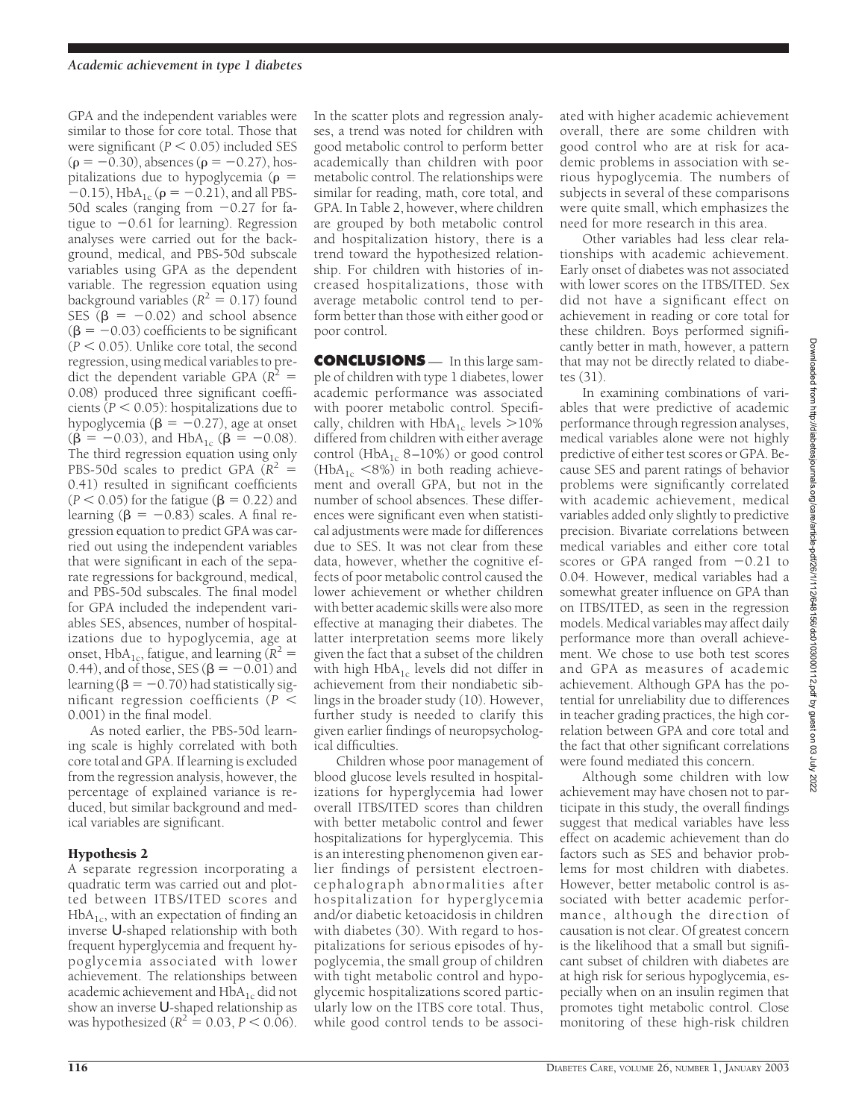GPA and the independent variables were similar to those for core total. Those that were significant  $(P < 0.05)$  included SES  $(\rho = -0.30)$ , absences ( $\rho = -0.27$ ), hospitalizations due to hypoglycemia ( $\rho =$  $-0.15$ ), HbA<sub>1c</sub> ( $\rho = -0.21$ ), and all PBS-50d scales (ranging from  $-0.27$  for fatigue to  $-0.61$  for learning). Regression analyses were carried out for the background, medical, and PBS-50d subscale variables using GPA as the dependent variable. The regression equation using background variables  $(R^2 = 0.17)$  found SES  $(B = -0.02)$  and school absence  $(\beta = -0.03)$  coefficients to be significant  $(P < 0.05)$ . Unlike core total, the second regression, using medical variables to predict the dependent variable GPA  $(R^2 =$ 0.08) produced three significant coefficients ( $P < 0.05$ ): hospitalizations due to hypoglycemia ( $\beta = -0.27$ ), age at onset  $(\beta = -0.03)$ , and HbA<sub>1c</sub> ( $\beta = -0.08$ ). The third regression equation using only PBS-50d scales to predict GPA  $(R^2 =$ 0.41) resulted in significant coefficients ( $P < 0.05$ ) for the fatigue ( $\beta = 0.22$ ) and learning  $(\beta = -0.83)$  scales. A final regression equation to predict GPA was carried out using the independent variables that were significant in each of the separate regressions for background, medical, and PBS-50d subscales. The final model for GPA included the independent variables SES, absences, number of hospitalizations due to hypoglycemia, age at onset, HbA<sub>1c</sub>, fatigue, and learning  $(R^2 =$ 0.44), and of those, SES ( $\beta = -0.01$ ) and learning ( $\beta = -0.70$ ) had statistically significant regression coefficients ( $P <$ 0.001) in the final model.

As noted earlier, the PBS-50d learning scale is highly correlated with both core total and GPA. If learning is excluded from the regression analysis, however, the percentage of explained variance is reduced, but similar background and medical variables are significant.

# Hypothesis 2

A separate regression incorporating a quadratic term was carried out and plotted between ITBS/ITED scores and  $HbA<sub>1c</sub>$ , with an expectation of finding an inverse U-shaped relationship with both frequent hyperglycemia and frequent hypoglycemia associated with lower achievement. The relationships between academic achievement and  $HbA_{1c}$  did not show an inverse U-shaped relationship as was hypothesized ( $R^2 = 0.03$ ,  $P < 0.06$ ).

In the scatter plots and regression analyses, a trend was noted for children with good metabolic control to perform better academically than children with poor metabolic control. The relationships were similar for reading, math, core total, and GPA. In Table 2, however, where children are grouped by both metabolic control and hospitalization history, there is a trend toward the hypothesized relationship. For children with histories of increased hospitalizations, those with average metabolic control tend to perform better than those with either good or poor control.

**CONCLUSIONS** — In this large sample of children with type 1 diabetes, lower academic performance was associated with poorer metabolic control. Specifically, children with  $HbA_{1c}$  levels  $>10\%$ differed from children with either average control (HbA<sub>1c</sub> 8–10%) or good control  $(HbA<sub>1c</sub> < 8%)$  in both reading achievement and overall GPA, but not in the number of school absences. These differences were significant even when statistical adjustments were made for differences due to SES. It was not clear from these data, however, whether the cognitive effects of poor metabolic control caused the lower achievement or whether children with better academic skills were also more effective at managing their diabetes. The latter interpretation seems more likely given the fact that a subset of the children with high  $HbA_{1c}$  levels did not differ in achievement from their nondiabetic siblings in the broader study (10). However, further study is needed to clarify this given earlier findings of neuropsychological difficulties.

Children whose poor management of blood glucose levels resulted in hospitalizations for hyperglycemia had lower overall ITBS/ITED scores than children with better metabolic control and fewer hospitalizations for hyperglycemia. This is an interesting phenomenon given earlier findings of persistent electroencephalograph abnormalities after hospitalization for hyperglycemia and/or diabetic ketoacidosis in children with diabetes (30). With regard to hospitalizations for serious episodes of hypoglycemia, the small group of children with tight metabolic control and hypoglycemic hospitalizations scored particularly low on the ITBS core total. Thus, while good control tends to be associated with higher academic achievement overall, there are some children with good control who are at risk for academic problems in association with serious hypoglycemia. The numbers of subjects in several of these comparisons were quite small, which emphasizes the need for more research in this area.

Other variables had less clear relationships with academic achievement. Early onset of diabetes was not associated with lower scores on the ITBS/ITED. Sex did not have a significant effect on achievement in reading or core total for these children. Boys performed significantly better in math, however, a pattern that may not be directly related to diabetes (31).

In examining combinations of variables that were predictive of academic performance through regression analyses, medical variables alone were not highly predictive of either test scores or GPA. Because SES and parent ratings of behavior problems were significantly correlated with academic achievement, medical variables added only slightly to predictive precision. Bivariate correlations between medical variables and either core total scores or GPA ranged from  $-0.21$  to 0.04. However, medical variables had a somewhat greater influence on GPA than on ITBS/ITED, as seen in the regression models. Medical variables may affect daily performance more than overall achievement. We chose to use both test scores and GPA as measures of academic achievement. Although GPA has the potential for unreliability due to differences in teacher grading practices, the high correlation between GPA and core total and the fact that other significant correlations were found mediated this concern.

Although some children with low achievement may have chosen not to participate in this study, the overall findings suggest that medical variables have less effect on academic achievement than do factors such as SES and behavior problems for most children with diabetes. However, better metabolic control is associated with better academic performance, although the direction of causation is not clear. Of greatest concern is the likelihood that a small but significant subset of children with diabetes are at high risk for serious hypoglycemia, especially when on an insulin regimen that promotes tight metabolic control. Close monitoring of these high-risk children